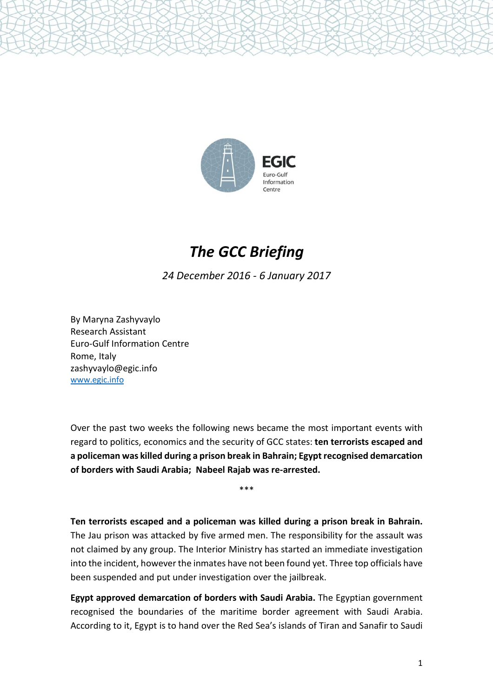

# *The GCC Briefing*

*24 December 2016 - 6 January 2017*

By Maryna Zashyvaylo Research Assistant Euro-Gulf Information Centre Rome, Italy zashyvaylo@egic.info [www.egic.info](http://www.egic.info/)

Over the past two weeks the following news became the most important events with regard to politics, economics and the security of GCC states: **ten terrorists escaped and a policeman was killed during a prison break in Bahrain; Egypt recognised demarcation of borders with Saudi Arabia; Nabeel Rajab was re-arrested.**

\*\*\*

**Ten terrorists escaped and a policeman was killed during a prison break in Bahrain.** The Jau prison was attacked by five armed men. The responsibility for the assault was not claimed by any group. The Interior Ministry has started an immediate investigation into the incident, however the inmates have not been found yet. Three top officials have been suspended and put under investigation over the jailbreak.

**Egypt approved demarcation of borders with Saudi Arabia.** The Egyptian government recognised the boundaries of the maritime border agreement with Saudi Arabia. According to it, Egypt is to hand over the Red Sea's islands of Tiran and Sanafir to Saudi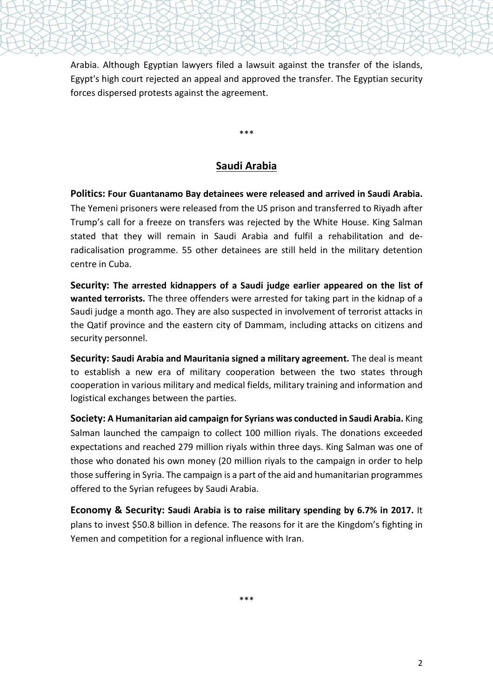Arabia. Although Egyptian lawyers filed a lawsuit against the transfer of the islands, Egypt's high court rejected an appeal and approved the transfer. The Egyptian security forces dispersed protests against the agreement.

**Saudi Arabia**

\*\*\*

**Politics: Four Guantanamo Bay detainees were released and arrived in Saudi Arabia.** The Yemeni prisoners were released from the US prison and transferred to Riyadh after Trump's call for a freeze on transfers was rejected by the White House. King Salman stated that they will remain in Saudi Arabia and fulfil a rehabilitation and deradicalisation programme. 55 other detainees are still held in the military detention centre in Cuba.

**Security: The arrested kidnappers of a Saudi judge earlier appeared on the list of wanted terrorists.** The three offenders were arrested for taking part in the kidnap of a Saudi judge a month ago. They are also suspected in involvement of terrorist attacks in the Qatif province and the eastern city of Dammam, including attacks on citizens and security personnel.

**Security: Saudi Arabia and Mauritania signed a military agreement.** The deal is meant to establish a new era of military cooperation between the two states through cooperation in various military and medical fields, military training and information and logistical exchanges between the parties.

**Society: A Humanitarian aid campaign for Syrians was conducted in Saudi Arabia.** King Salman launched the campaign to collect 100 million riyals. The donations exceeded expectations and reached 279 million riyals within three days. King Salman was one of those who donated his own money (20 million riyals to the campaign in order to help those suffering in Syria. The campaign is a part of the aid and humanitarian programmes offered to the Syrian refugees by Saudi Arabia.

**Economy & Security: Saudi Arabia is to raise military spending by 6.7% in 2017.** It plans to invest \$50.8 billion in defence. The reasons for it are the Kingdom's fighting in Yemen and competition for a regional influence with Iran.

\*\*\*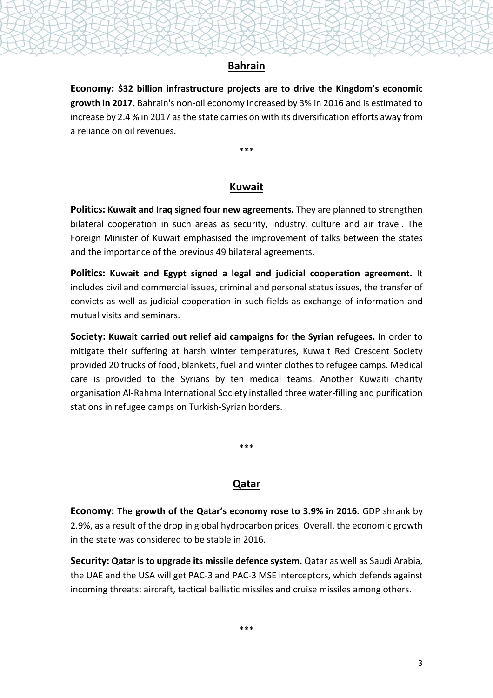#### **Bahrain**

**Economy: \$32 billion infrastructure projects are to drive the Kingdom's economic growth in 2017.** Bahrain's non-oil economy increased by 3% in 2016 and is estimated to increase by 2.4 % in 2017 asthe state carries on with its diversification efforts away from a reliance on oil revenues.

\*\*\*

#### **Kuwait**

**Politics: Kuwait and Iraq signed four new agreements.** They are planned to strengthen bilateral cooperation in such areas as security, industry, culture and air travel. The Foreign Minister of Kuwait emphasised the improvement of talks between the states and the importance of the previous 49 bilateral agreements.

**Politics: Kuwait and Egypt signed a legal and judicial cooperation agreement.** It includes civil and commercial issues, criminal and personal status issues, the transfer of convicts as well as judicial cooperation in such fields as exchange of information and mutual visits and seminars.

**Society: Kuwait carried out relief aid campaigns for the Syrian refugees.** In order to mitigate their suffering at harsh winter temperatures, Kuwait Red Crescent Society provided 20 trucks of food, blankets, fuel and winter clothes to refugee camps. Medical care is provided to the Syrians by ten medical teams. Another Kuwaiti charity organisation Al-Rahma International Society installed three water-filling and purification stations in refugee camps on Turkish-Syrian borders.

\*\*\*

## **Qatar**

**Economy: The growth of the Qatar's economy rose to 3.9% in 2016.** GDP shrank by 2.9%, as a result of the drop in global hydrocarbon prices. Overall, the economic growth in the state was considered to be stable in 2016.

**Security: Qatar is to upgrade its missile defence system.** Qatar as well as Saudi Arabia, the UAE and the USA will get PAC-3 and PAC-3 MSE interceptors, which defends against incoming threats: aircraft, tactical ballistic missiles and cruise missiles among others.